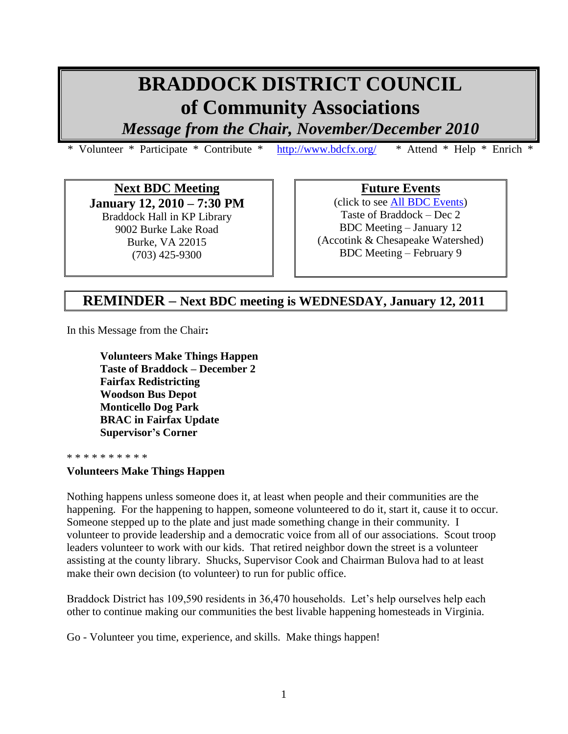# **BRADDOCK DISTRICT COUNCIL of Community Associations**

*Message from the Chair, November/December 2010*

\* Volunteer \* Participate \* Contribute \* <http://www.bdcfx.org/>\* Attend \* Help \* Enrich \*

**Next BDC Meeting January 12, 2010 – 7:30 PM** Braddock Hall in KP Library 9002 Burke Lake Road Burke, VA 22015 (703) 425-9300

**Future Events**

(click to see [All BDC Events\)](https://docs.google.com/viewer?a=v&pid=sites&srcid=ZGVmYXVsdGRvbWFpbnxiZGNmeHZhfGd4OjNiYzU1MTNlMjBmMDkxMmQ&pli=1) Taste of Braddock – Dec 2 BDC Meeting – January 12 (Accotink & Chesapeake Watershed) BDC Meeting – February 9

# **REMINDER – Next BDC meeting is WEDNESDAY, January 12, 2011**

In this Message from the Chair**:**

**Volunteers Make Things Happen Taste of Braddock – December 2 Fairfax Redistricting Woodson Bus Depot Monticello Dog Park BRAC in Fairfax Update Supervisor's Corner**

#### \* \* \* \* \* \* \* \* \*

# **Volunteers Make Things Happen**

Nothing happens unless someone does it, at least when people and their communities are the happening. For the happening to happen, someone volunteered to do it, start it, cause it to occur. Someone stepped up to the plate and just made something change in their community. I volunteer to provide leadership and a democratic voice from all of our associations. Scout troop leaders volunteer to work with our kids. That retired neighbor down the street is a volunteer assisting at the county library. Shucks, Supervisor Cook and Chairman Bulova had to at least make their own decision (to volunteer) to run for public office.

Braddock District has 109,590 residents in 36,470 households. Let's help ourselves help each other to continue making our communities the best livable happening homesteads in Virginia.

Go - Volunteer you time, experience, and skills. Make things happen!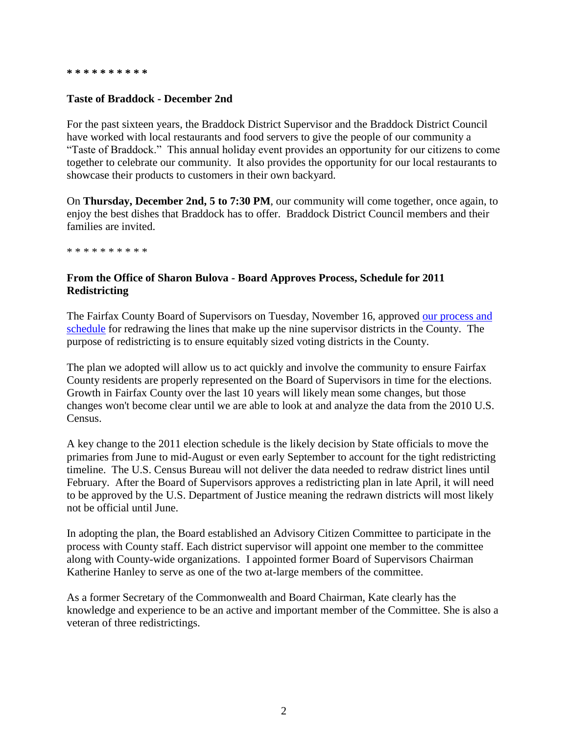#### **\* \* \* \* \* \* \* \* \* \***

## **Taste of Braddock - December 2nd**

For the past sixteen years, the Braddock District Supervisor and the Braddock District Council have worked with local restaurants and food servers to give the people of our community a "Taste of Braddock." This annual holiday event provides an opportunity for our citizens to come together to celebrate our community. It also provides the opportunity for our local restaurants to showcase their products to customers in their own backyard.

On **Thursday, December 2nd, 5 to 7:30 PM**, our community will come together, once again, to enjoy the best dishes that Braddock has to offer. Braddock District Council members and their families are invited.

\* \* \* \* \* \* \* \* \* \*

# **From the Office of Sharon Bulova - Board Approves Process, Schedule for 2011 Redistricting**

The Fairfax County Board of Supervisors on Tuesday, November 16, approved our process and [schedule](http://www.fairfaxcounty.gov/chairman/pdf/redistricting_board_item.pdf) for redrawing the lines that make up the nine supervisor districts in the County. The purpose of redistricting is to ensure equitably sized voting districts in the County.

The plan we adopted will allow us to act quickly and involve the community to ensure Fairfax County residents are properly represented on the Board of Supervisors in time for the elections. Growth in Fairfax County over the last 10 years will likely mean some changes, but those changes won't become clear until we are able to look at and analyze the data from the 2010 U.S. Census.

A key change to the 2011 election schedule is the likely decision by State officials to move the primaries from June to mid-August or even early September to account for the tight redistricting timeline. The U.S. Census Bureau will not deliver the data needed to redraw district lines until February. After the Board of Supervisors approves a redistricting plan in late April, it will need to be approved by the U.S. Department of Justice meaning the redrawn districts will most likely not be official until June.

In adopting the plan, the Board established an Advisory Citizen Committee to participate in the process with County staff. Each district supervisor will appoint one member to the committee along with County-wide organizations. I appointed former Board of Supervisors Chairman Katherine Hanley to serve as one of the two at-large members of the committee.

As a former Secretary of the Commonwealth and Board Chairman, Kate clearly has the knowledge and experience to be an active and important member of the Committee. She is also a veteran of three redistrictings.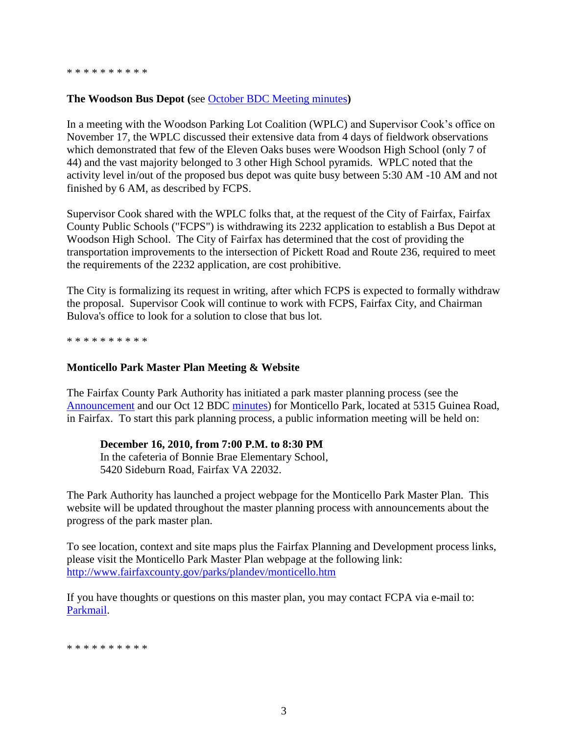## **The Woodson Bus Depot (**see [October BDC Meeting minutes](http://www.bdcfx.org/home/meeting-minutes)**)**

In a meeting with the Woodson Parking Lot Coalition (WPLC) and Supervisor Cook's office on November 17, the WPLC discussed their extensive data from 4 days of fieldwork observations which demonstrated that few of the Eleven Oaks buses were Woodson High School (only 7 of 44) and the vast majority belonged to 3 other High School pyramids. WPLC noted that the activity level in/out of the proposed bus depot was quite busy between 5:30 AM -10 AM and not finished by 6 AM, as described by FCPS.

Supervisor Cook shared with the WPLC folks that, at the request of the City of Fairfax, Fairfax County Public Schools ("FCPS") is withdrawing its 2232 application to establish a Bus Depot at Woodson High School. The City of Fairfax has determined that the cost of providing the transportation improvements to the intersection of Pickett Road and Route 236, required to meet the requirements of the 2232 application, are cost prohibitive.

The City is formalizing its request in writing, after which FCPS is expected to formally withdraw the proposal. Supervisor Cook will continue to work with FCPS, Fairfax City, and Chairman Bulova's office to look for a solution to close that bus lot.

\* \* \* \* \* \* \* \* \* \*

#### **Monticello Park Master Plan Meeting & Website**

The Fairfax County Park Authority has initiated a park master planning process (see the [Announcement](http://www.bdcfx.org/home/announcements-and-events) and our Oct 12 BDC [minutes\)](http://www.bdcfx.org/home/meeting-minutes) for Monticello Park, located at 5315 Guinea Road, in Fairfax. To start this park planning process, a public information meeting will be held on:

#### **December 16, 2010, from 7:00 P.M. to 8:30 PM**

In the cafeteria of Bonnie Brae Elementary School, 5420 Sideburn Road, Fairfax VA 22032.

The Park Authority has launched a project webpage for the Monticello Park Master Plan. This website will be updated throughout the master planning process with announcements about the progress of the park master plan.

To see location, context and site maps plus the Fairfax Planning and Development process links, please visit the Monticello Park Master Plan webpage at the following link: <http://www.fairfaxcounty.gov/parks/plandev/monticello.htm>

If you have thoughts or questions on this master plan, you may contact FCPA via e-mail to: [Parkmail.](mailto:parkmail@fairfaxcounty.gov)

\* \* \* \* \* \* \* \* \* \*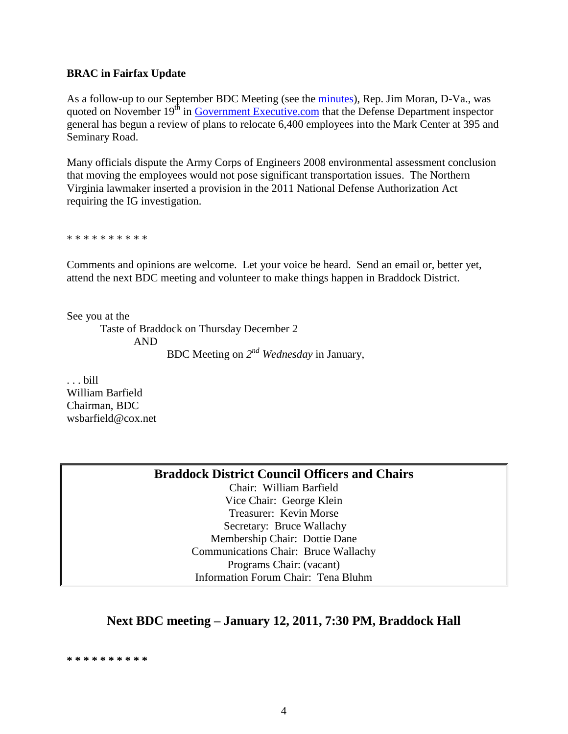### **BRAC in Fairfax Update**

As a follow-up to our September BDC Meeting (see the [minutes\)](http://www.bdcfx.org/home/meeting-minutes), Rep. Jim Moran, D-Va., was quoted on November  $19<sup>th</sup>$  in [Government Executive.com](http://www.govexec.com/story_page.cfm?filepath=/dailyfed/1110/111910kp1.htm&oref=search) that the Defense Department inspector general has begun a review of plans to relocate 6,400 employees into the Mark Center at 395 and Seminary Road.

Many officials dispute the Army Corps of Engineers 2008 environmental assessment conclusion that moving the employees would not pose significant transportation issues. The Northern Virginia lawmaker inserted a provision in the 2011 National Defense Authorization Act requiring the IG investigation.

\* \* \* \* \* \* \* \* \* \*

Comments and opinions are welcome. Let your voice be heard. Send an email or, better yet, attend the next BDC meeting and volunteer to make things happen in Braddock District.

See you at the

Taste of Braddock on Thursday December 2 AND BDC Meeting on *2 nd Wednesday* in January,

. . . bill William Barfield Chairman, BDC wsbarfield@cox.net

**Braddock District Council Officers and Chairs**

Chair: William Barfield Vice Chair: George Klein Treasurer: Kevin Morse Secretary: Bruce Wallachy Membership Chair: Dottie Dane Communications Chair: Bruce Wallachy Programs Chair: (vacant) Information Forum Chair: Tena Bluhm

# **Next BDC meeting – January 12, 2011, 7:30 PM, Braddock Hall**

**\* \* \* \* \* \* \* \* \* \***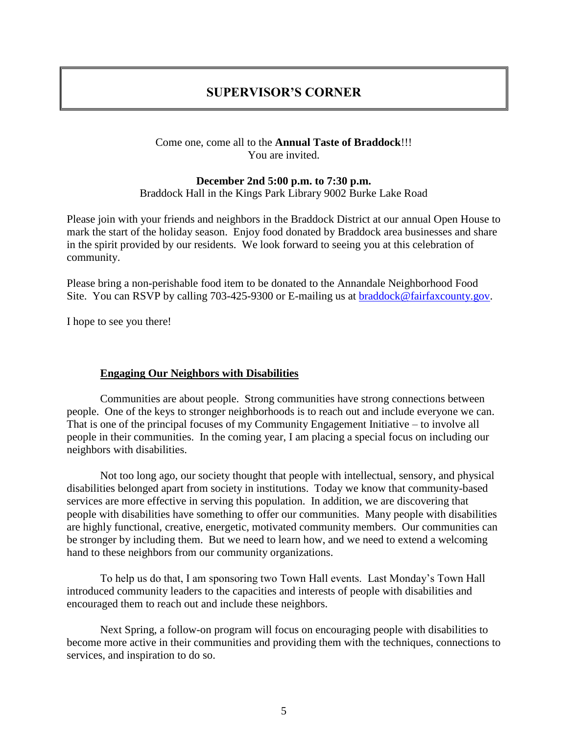# **SUPERVISOR'S CORNER**

# Come one, come all to the **Annual Taste of Braddock**!!! You are invited.

# **December 2nd 5:00 p.m. to 7:30 p.m.** Braddock Hall in the Kings Park Library 9002 Burke Lake Road

Please join with your friends and neighbors in the Braddock District at our annual Open House to mark the start of the holiday season. Enjoy food donated by Braddock area businesses and share in the spirit provided by our residents. We look forward to seeing you at this celebration of community.

Please bring a non-perishable food item to be donated to the Annandale Neighborhood Food Site. You can RSVP by calling 703-425-9300 or E-mailing us at [braddock@fairfaxcounty.gov.](mailto:braddock@fairfaxcounty.gov)

I hope to see you there!

# **Engaging Our Neighbors with Disabilities**

Communities are about people. Strong communities have strong connections between people. One of the keys to stronger neighborhoods is to reach out and include everyone we can. That is one of the principal focuses of my Community Engagement Initiative – to involve all people in their communities. In the coming year, I am placing a special focus on including our neighbors with disabilities.

Not too long ago, our society thought that people with intellectual, sensory, and physical disabilities belonged apart from society in institutions. Today we know that community-based services are more effective in serving this population. In addition, we are discovering that people with disabilities have something to offer our communities. Many people with disabilities are highly functional, creative, energetic, motivated community members. Our communities can be stronger by including them. But we need to learn how, and we need to extend a welcoming hand to these neighbors from our community organizations.

To help us do that, I am sponsoring two Town Hall events. Last Monday's Town Hall introduced community leaders to the capacities and interests of people with disabilities and encouraged them to reach out and include these neighbors.

Next Spring, a follow-on program will focus on encouraging people with disabilities to become more active in their communities and providing them with the techniques, connections to services, and inspiration to do so.